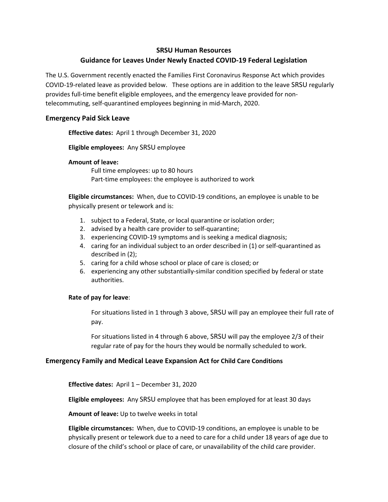### **SRSU Human Resources**

# **Guidance for Leaves Under Newly Enacted COVID-19 Federal Legislation**

The U.S. Government recently enacted the Families First Coronavirus Response Act which provides COVID-19-related leave as provided below. These options are in addition to the leave SRSU regularly provides full-time benefit eligible employees, and the emergency leave provided for nontelecommuting, self-quarantined employees beginning in mid-March, 2020.

## **Emergency Paid Sick Leave**

**Effective dates:** April 1 through December 31, 2020

**Eligible employees:** Any SRSU employee

#### **Amount of leave:**

Full time employees: up to 80 hours Part-time employees: the employee is authorized to work

**Eligible circumstances:** When, due to COVID-19 conditions, an employee is unable to be physically present or telework and is:

- 1. subject to a Federal, State, or local quarantine or isolation order;
- 2. advised by a health care provider to self-quarantine;
- 3. experiencing COVID-19 symptoms and is seeking a medical diagnosis;
- 4. caring for an individual subject to an order described in (1) or self-quarantined as described in (2);
- 5. caring for a child whose school or place of care is closed; or
- 6. experiencing any other substantially-similar condition specified by federal or state authorities.

### **Rate of pay for leave**:

For situations listed in 1 through 3 above, SRSU will pay an employee their full rate of pay.

For situations listed in 4 through 6 above, SRSU will pay the employee 2/3 of their regular rate of pay for the hours they would be normally scheduled to work.

### **Emergency Family and Medical Leave Expansion Act for Child Care Conditions**

**Effective dates:** April 1 – December 31, 2020

**Eligible employees:** Any SRSU employee that has been employed for at least 30 days

**Amount of leave:** Up to twelve weeks in total

**Eligible circumstances:** When, due to COVID-19 conditions, an employee is unable to be physically present or telework due to a need to care for a child under 18 years of age due to closure of the child's school or place of care, or unavailability of the child care provider.